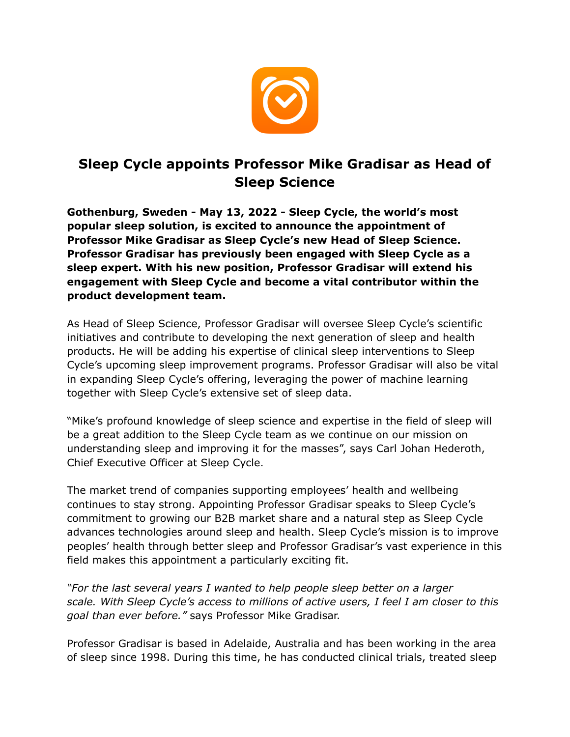

## **Sleep Cycle appoints Professor Mike Gradisar as Head of Sleep Science**

**Gothenburg, Sweden - May 13, 2022 - Sleep Cycle, the world's most popular sleep solution, is excited to announce the appointment of Professor Mike Gradisar as Sleep Cycle's new Head of Sleep Science. Professor Gradisar has previously been engaged with Sleep Cycle as a sleep expert. With his new position, Professor Gradisar will extend his engagement with Sleep Cycle and become a vital contributor within the product development team.** 

As Head of Sleep Science, Professor Gradisar will oversee Sleep Cycle's scientific initiatives and contribute to developing the next generation of sleep and health products. He will be adding his expertise of clinical sleep interventions to Sleep Cycle's upcoming sleep improvement programs. Professor Gradisar will also be vital in expanding Sleep Cycle's offering, leveraging the power of machine learning together with Sleep Cycle's extensive set of sleep data.

"Mike's profound knowledge of sleep science and expertise in the field of sleep will be a great addition to the Sleep Cycle team as we continue on our mission on understanding sleep and improving it for the masses", says Carl Johan Hederoth, Chief Executive Officer at Sleep Cycle.

The market trend of companies supporting employees' health and wellbeing continues to stay strong. Appointing Professor Gradisar speaks to Sleep Cycle's commitment to growing our B2B market share and a natural step as Sleep Cycle advances technologies around sleep and health. Sleep Cycle's mission is to improve peoples' health through better sleep and Professor Gradisar's vast experience in this field makes this appointment a particularly exciting fit.

*"For the last several years I wanted to help people sleep better on a larger scale. With Sleep Cycle's access to millions of active users, I feel I am closer to this goal than ever before."* says Professor Mike Gradisar.

Professor Gradisar is based in Adelaide, Australia and has been working in the area of sleep since 1998. During this time, he has conducted clinical trials, treated sleep